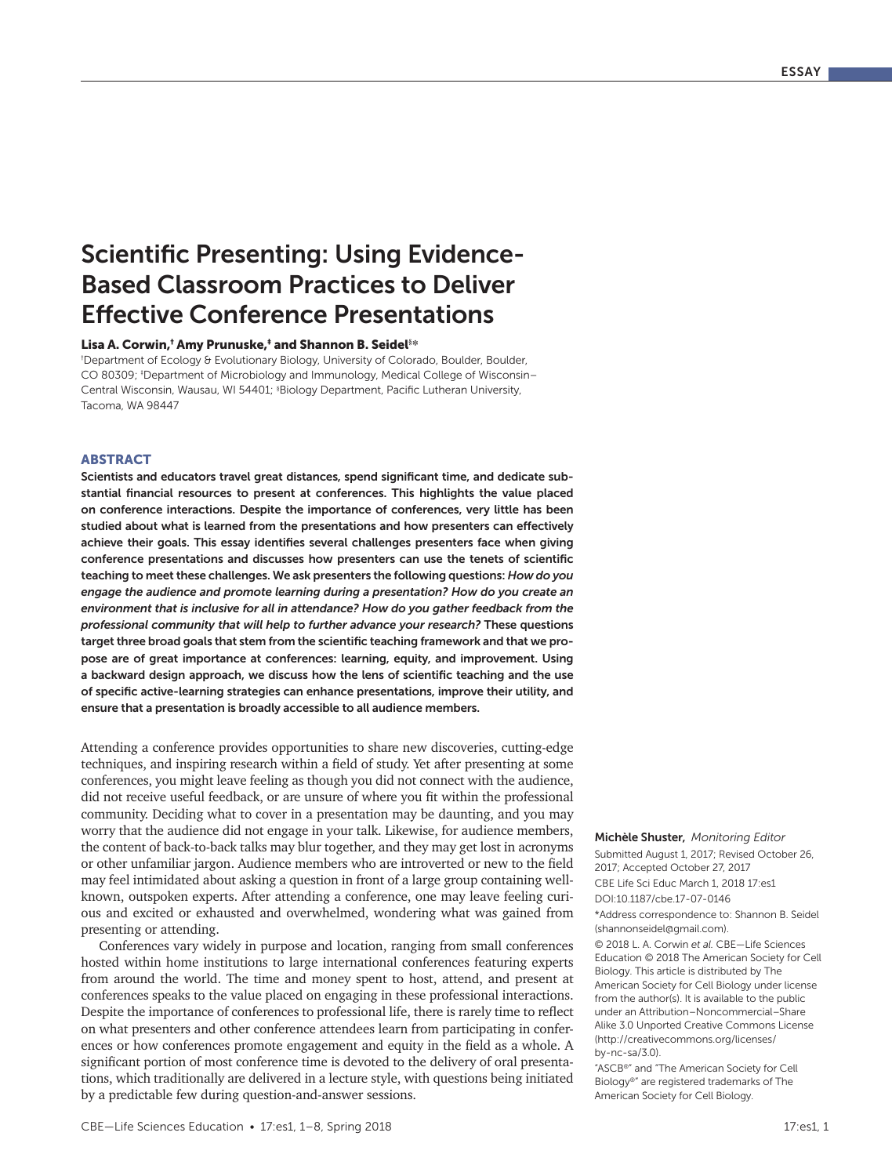# Scientific Presenting: Using Evidence-Based Classroom Practices to Deliver Effective Conference Presentations

# Lisa A. Corwin,† Amy Prunuske,‡ and Shannon B. Seidel**§ \***

† Department of Ecology & Evolutionary Biology, University of Colorado, Boulder, Boulder, CO 80309; ‡ Department of Microbiology and Immunology, Medical College of Wisconsin– Central Wisconsin, Wausau, WI 54401; § Biology Department, Pacific Lutheran University, Tacoma, WA 98447

# ABSTRACT

Scientists and educators travel great distances, spend significant time, and dedicate substantial financial resources to present at conferences. This highlights the value placed on conference interactions. Despite the importance of conferences, very little has been studied about what is learned from the presentations and how presenters can effectively achieve their goals. This essay identifies several challenges presenters face when giving conference presentations and discusses how presenters can use the tenets of scientific teaching to meet these challenges. We ask presenters the following questions: *How do you engage the audience and promote learning during a presentation? How do you create an environment that is inclusive for all in attendance? How do you gather feedback from the professional community that will help to further advance your research?* These questions target three broad goals that stem from the scientific teaching framework and that we propose are of great importance at conferences: learning, equity, and improvement. Using a backward design approach, we discuss how the lens of scientific teaching and the use of specific active-learning strategies can enhance presentations, improve their utility, and ensure that a presentation is broadly accessible to all audience members.

Attending a conference provides opportunities to share new discoveries, cutting-edge techniques, and inspiring research within a field of study. Yet after presenting at some conferences, you might leave feeling as though you did not connect with the audience, did not receive useful feedback, or are unsure of where you fit within the professional community. Deciding what to cover in a presentation may be daunting, and you may worry that the audience did not engage in your talk. Likewise, for audience members, the content of back-to-back talks may blur together, and they may get lost in acronyms or other unfamiliar jargon. Audience members who are introverted or new to the field may feel intimidated about asking a question in front of a large group containing wellknown, outspoken experts. After attending a conference, one may leave feeling curious and excited or exhausted and overwhelmed, wondering what was gained from presenting or attending.

Conferences vary widely in purpose and location, ranging from small conferences hosted within home institutions to large international conferences featuring experts from around the world. The time and money spent to host, attend, and present at conferences speaks to the value placed on engaging in these professional interactions. Despite the importance of conferences to professional life, there is rarely time to reflect on what presenters and other conference attendees learn from participating in conferences or how conferences promote engagement and equity in the field as a whole. A significant portion of most conference time is devoted to the delivery of oral presentations, which traditionally are delivered in a lecture style, with questions being initiated by a predictable few during question-and-answer sessions.

Michèle Shuster, *Monitoring Editor* Submitted August 1, 2017; Revised October 26, 2017; Accepted October 27, 2017 DOI:10.1187/cbe.17-07-0146 CBE Life Sci Educ March 1, 2018 17:es1

\*Address correspondence to: Shannon B. Seidel (shannonseidel@gmail.com).

© 2018 L. A. Corwin *et al.* CBE—Life Sciences Education © 2018 The American Society for Cell Biology. This article is distributed by The American Society for Cell Biology under license from the author(s). It is available to the public under an Attribution–Noncommercial–Share Alike 3.0 Unported Creative Commons License (http://creativecommons.org/licenses/ by-nc-sa/3.0).

"ASCB®" and "The American Society for Cell Biology®" are registered trademarks of The American Society for Cell Biology.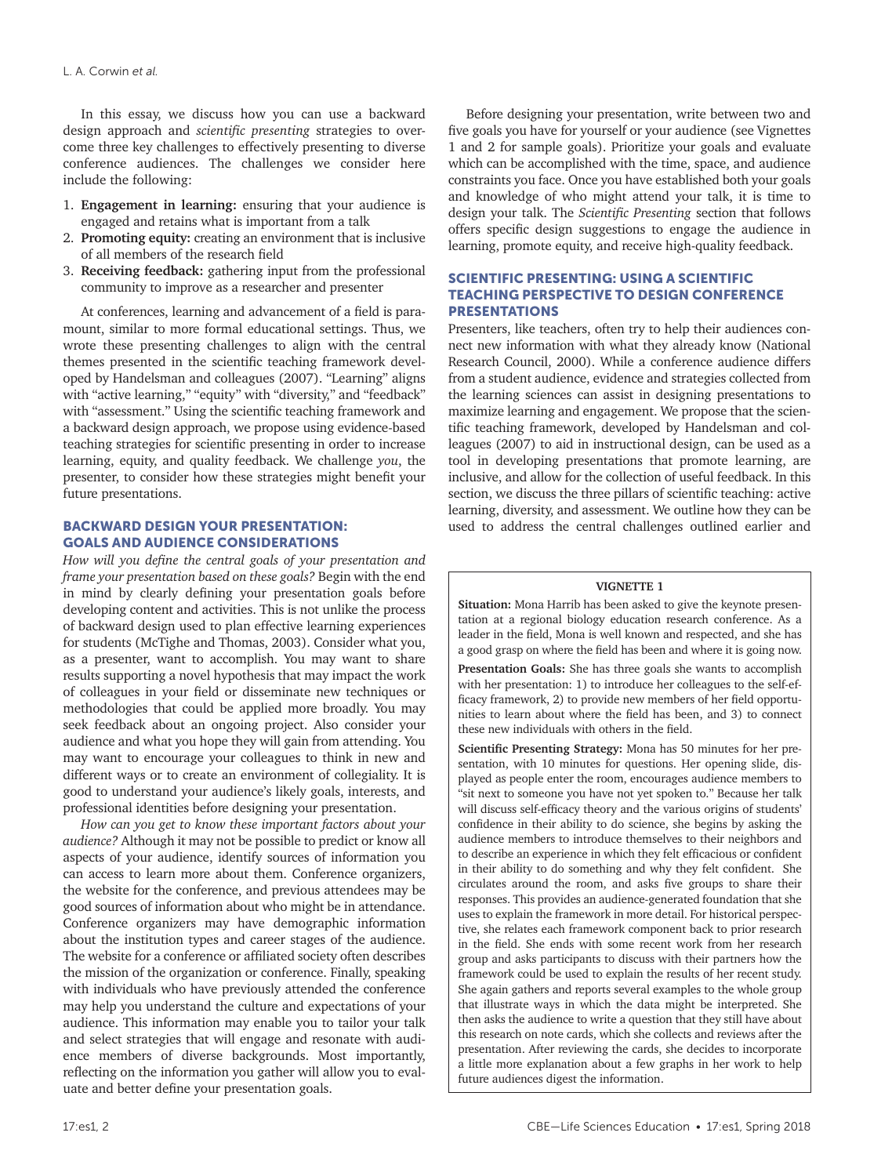In this essay, we discuss how you can use a backward design approach and *scientific presenting* strategies to overcome three key challenges to effectively presenting to diverse conference audiences. The challenges we consider here include the following:

- 1. **Engagement in learning:** ensuring that your audience is engaged and retains what is important from a talk
- 2. **Promoting equity:** creating an environment that is inclusive of all members of the research field
- 3. **Receiving feedback:** gathering input from the professional community to improve as a researcher and presenter

At conferences, learning and advancement of a field is paramount, similar to more formal educational settings. Thus, we wrote these presenting challenges to align with the central themes presented in the scientific teaching framework developed by Handelsman and colleagues (2007). "Learning" aligns with "active learning," "equity" with "diversity," and "feedback" with "assessment." Using the scientific teaching framework and a backward design approach, we propose using evidence-based teaching strategies for scientific presenting in order to increase learning, equity, and quality feedback. We challenge *you*, the presenter, to consider how these strategies might benefit your future presentations.

# BACKWARD DESIGN YOUR PRESENTATION: GOALS AND AUDIENCE CONSIDERATIONS

*How will you define the central goals of your presentation and frame your presentation based on these goals?* Begin with the end in mind by clearly defining your presentation goals before developing content and activities. This is not unlike the process of backward design used to plan effective learning experiences for students (McTighe and Thomas, 2003). Consider what you, as a presenter, want to accomplish. You may want to share results supporting a novel hypothesis that may impact the work of colleagues in your field or disseminate new techniques or methodologies that could be applied more broadly. You may seek feedback about an ongoing project. Also consider your audience and what you hope they will gain from attending. You may want to encourage your colleagues to think in new and different ways or to create an environment of collegiality. It is good to understand your audience's likely goals, interests, and professional identities before designing your presentation.

*How can you get to know these important factors about your audience?* Although it may not be possible to predict or know all aspects of your audience, identify sources of information you can access to learn more about them. Conference organizers, the website for the conference, and previous attendees may be good sources of information about who might be in attendance. Conference organizers may have demographic information about the institution types and career stages of the audience. The website for a conference or affiliated society often describes the mission of the organization or conference. Finally, speaking with individuals who have previously attended the conference may help you understand the culture and expectations of your audience. This information may enable you to tailor your talk and select strategies that will engage and resonate with audience members of diverse backgrounds. Most importantly, reflecting on the information you gather will allow you to evaluate and better define your presentation goals.

Before designing your presentation, write between two and five goals you have for yourself or your audience (see Vignettes 1 and 2 for sample goals). Prioritize your goals and evaluate which can be accomplished with the time, space, and audience constraints you face. Once you have established both your goals and knowledge of who might attend your talk, it is time to design your talk. The *Scientific Presenting* section that follows offers specific design suggestions to engage the audience in learning, promote equity, and receive high-quality feedback.

# SCIENTIFIC PRESENTING: USING A SCIENTIFIC TEACHING PERSPECTIVE TO DESIGN CONFERENCE PRESENTATIONS

Presenters, like teachers, often try to help their audiences connect new information with what they already know (National Research Council, 2000). While a conference audience differs from a student audience, evidence and strategies collected from the learning sciences can assist in designing presentations to maximize learning and engagement. We propose that the scientific teaching framework, developed by Handelsman and colleagues (2007) to aid in instructional design, can be used as a tool in developing presentations that promote learning, are inclusive, and allow for the collection of useful feedback. In this section, we discuss the three pillars of scientific teaching: active learning, diversity, and assessment. We outline how they can be used to address the central challenges outlined earlier and

#### **VIGNETTE 1**

**Situation:** Mona Harrib has been asked to give the keynote presentation at a regional biology education research conference. As a leader in the field, Mona is well known and respected, and she has a good grasp on where the field has been and where it is going now.

**Presentation Goals:** She has three goals she wants to accomplish with her presentation: 1) to introduce her colleagues to the self-efficacy framework, 2) to provide new members of her field opportunities to learn about where the field has been, and 3) to connect these new individuals with others in the field.

**Scientific Presenting Strategy:** Mona has 50 minutes for her presentation, with 10 minutes for questions. Her opening slide, displayed as people enter the room, encourages audience members to "sit next to someone you have not yet spoken to." Because her talk will discuss self-efficacy theory and the various origins of students' confidence in their ability to do science, she begins by asking the audience members to introduce themselves to their neighbors and to describe an experience in which they felt efficacious or confident in their ability to do something and why they felt confident. She circulates around the room, and asks five groups to share their responses. This provides an audience-generated foundation that she uses to explain the framework in more detail. For historical perspective, she relates each framework component back to prior research in the field. She ends with some recent work from her research group and asks participants to discuss with their partners how the framework could be used to explain the results of her recent study. She again gathers and reports several examples to the whole group that illustrate ways in which the data might be interpreted. She then asks the audience to write a question that they still have about this research on note cards, which she collects and reviews after the presentation. After reviewing the cards, she decides to incorporate a little more explanation about a few graphs in her work to help future audiences digest the information.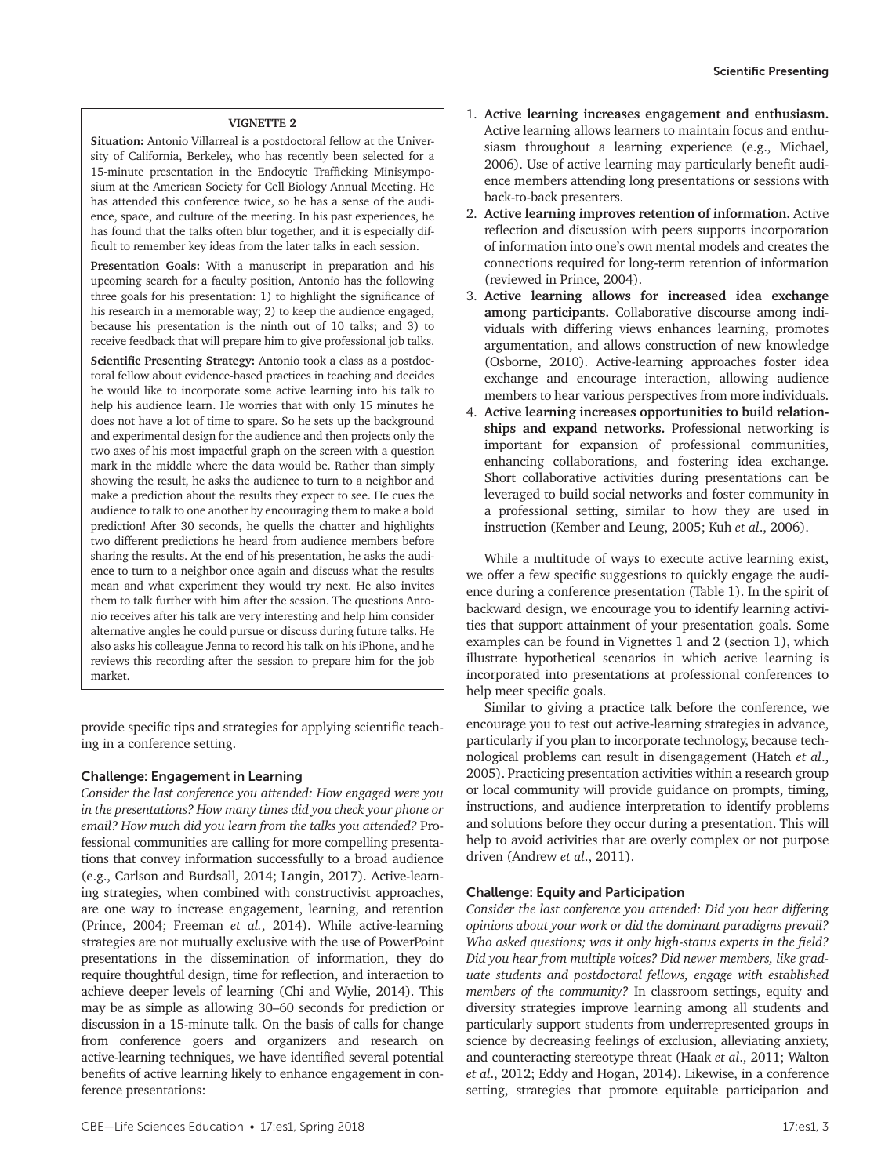#### **VIGNETTE 2**

**Situation:** Antonio Villarreal is a postdoctoral fellow at the University of California, Berkeley, who has recently been selected for a 15-minute presentation in the Endocytic Trafficking Minisymposium at the American Society for Cell Biology Annual Meeting. He has attended this conference twice, so he has a sense of the audience, space, and culture of the meeting. In his past experiences, he has found that the talks often blur together, and it is especially difficult to remember key ideas from the later talks in each session.

**Presentation Goals:** With a manuscript in preparation and his upcoming search for a faculty position, Antonio has the following three goals for his presentation: 1) to highlight the significance of his research in a memorable way; 2) to keep the audience engaged, because his presentation is the ninth out of 10 talks; and 3) to receive feedback that will prepare him to give professional job talks.

**Scientific Presenting Strategy:** Antonio took a class as a postdoctoral fellow about evidence-based practices in teaching and decides he would like to incorporate some active learning into his talk to help his audience learn. He worries that with only 15 minutes he does not have a lot of time to spare. So he sets up the background and experimental design for the audience and then projects only the two axes of his most impactful graph on the screen with a question mark in the middle where the data would be. Rather than simply showing the result, he asks the audience to turn to a neighbor and make a prediction about the results they expect to see. He cues the audience to talk to one another by encouraging them to make a bold prediction! After 30 seconds, he quells the chatter and highlights two different predictions he heard from audience members before sharing the results. At the end of his presentation, he asks the audience to turn to a neighbor once again and discuss what the results mean and what experiment they would try next. He also invites them to talk further with him after the session. The questions Antonio receives after his talk are very interesting and help him consider alternative angles he could pursue or discuss during future talks. He also asks his colleague Jenna to record his talk on his iPhone, and he reviews this recording after the session to prepare him for the job market.

provide specific tips and strategies for applying scientific teaching in a conference setting.

# Challenge: Engagement in Learning

*Consider the last conference you attended: How engaged were you in the presentations? How many times did you check your phone or email? How much did you learn from the talks you attended?* Professional communities are calling for more compelling presentations that convey information successfully to a broad audience (e.g., Carlson and Burdsall, 2014; Langin, 2017). Active-learning strategies, when combined with constructivist approaches, are one way to increase engagement, learning, and retention (Prince, 2004; Freeman *et al.*, 2014). While active-learning strategies are not mutually exclusive with the use of PowerPoint presentations in the dissemination of information, they do require thoughtful design, time for reflection, and interaction to achieve deeper levels of learning (Chi and Wylie, 2014). This may be as simple as allowing 30–60 seconds for prediction or discussion in a 15-minute talk. On the basis of calls for change from conference goers and organizers and research on active-learning techniques, we have identified several potential benefits of active learning likely to enhance engagement in conference presentations:

- 1. **Active learning increases engagement and enthusiasm.** Active learning allows learners to maintain focus and enthusiasm throughout a learning experience (e.g., Michael, 2006). Use of active learning may particularly benefit audience members attending long presentations or sessions with back-to-back presenters.
- 2. **Active learning improves retention of information.** Active reflection and discussion with peers supports incorporation of information into one's own mental models and creates the connections required for long-term retention of information (reviewed in Prince, 2004).
- 3. **Active learning allows for increased idea exchange among participants.** Collaborative discourse among individuals with differing views enhances learning, promotes argumentation, and allows construction of new knowledge (Osborne, 2010). Active-learning approaches foster idea exchange and encourage interaction, allowing audience members to hear various perspectives from more individuals.
- 4. **Active learning increases opportunities to build relationships and expand networks.** Professional networking is important for expansion of professional communities, enhancing collaborations, and fostering idea exchange. Short collaborative activities during presentations can be leveraged to build social networks and foster community in a professional setting, similar to how they are used in instruction (Kember and Leung, 2005; Kuh *et al*., 2006).

While a multitude of ways to execute active learning exist, we offer a few specific suggestions to quickly engage the audience during a conference presentation (Table 1). In the spirit of backward design, we encourage you to identify learning activities that support attainment of your presentation goals. Some examples can be found in Vignettes 1 and 2 (section 1), which illustrate hypothetical scenarios in which active learning is incorporated into presentations at professional conferences to help meet specific goals.

Similar to giving a practice talk before the conference, we encourage you to test out active-learning strategies in advance, particularly if you plan to incorporate technology, because technological problems can result in disengagement (Hatch *et al*., 2005). Practicing presentation activities within a research group or local community will provide guidance on prompts, timing, instructions, and audience interpretation to identify problems and solutions before they occur during a presentation. This will help to avoid activities that are overly complex or not purpose driven (Andrew *et al*., 2011).

#### Challenge: Equity and Participation

*Consider the last conference you attended: Did you hear differing opinions about your work or did the dominant paradigms prevail? Who asked questions; was it only high-status experts in the field? Did you hear from multiple voices? Did newer members, like graduate students and postdoctoral fellows, engage with established members of the community?* In classroom settings, equity and diversity strategies improve learning among all students and particularly support students from underrepresented groups in science by decreasing feelings of exclusion, alleviating anxiety, and counteracting stereotype threat (Haak *et al*., 2011; Walton *et al*., 2012; Eddy and Hogan, 2014). Likewise, in a conference setting, strategies that promote equitable participation and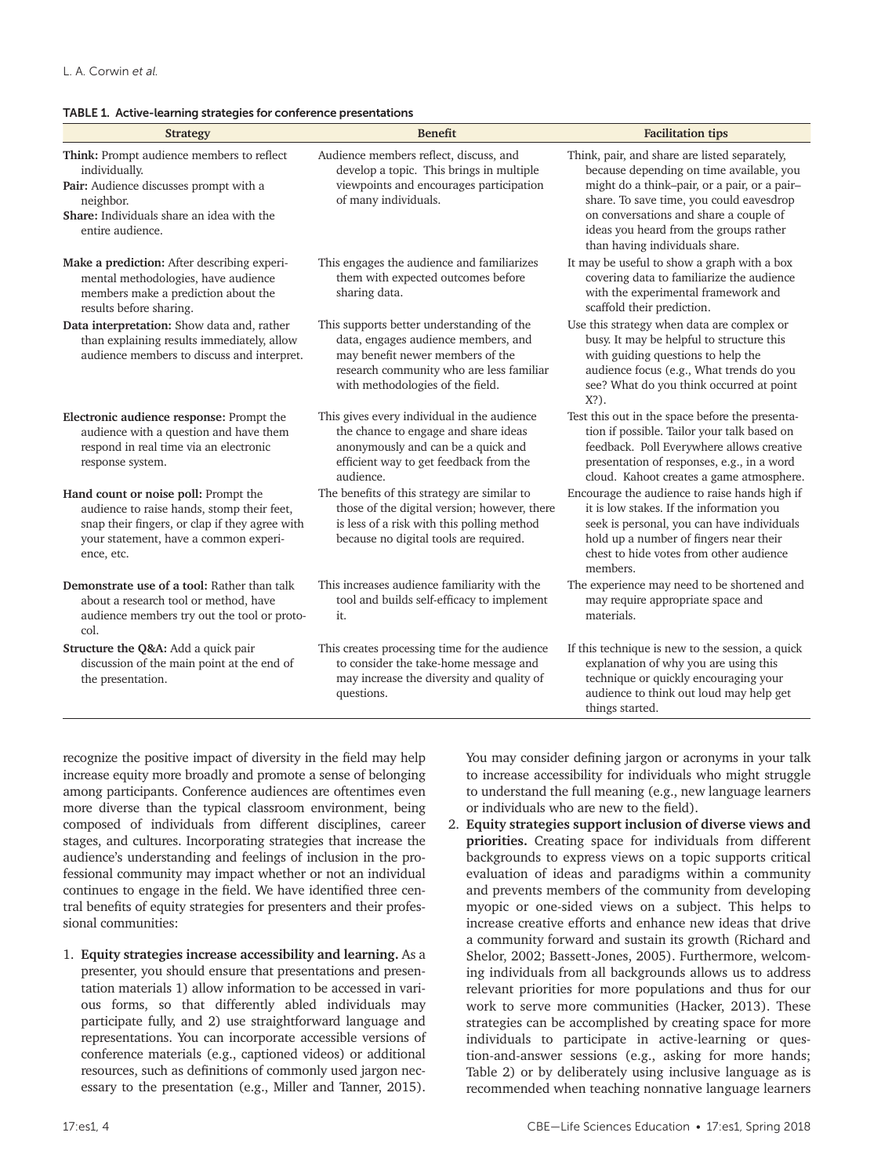# TABLE 1. Active-learning strategies for conference presentations

| <b>Strategy</b>                                                                                                                                                                             | <b>Benefit</b>                                                                                                                                                                                       | <b>Facilitation tips</b>                                                                                                                                                                                                                                                                                    |
|---------------------------------------------------------------------------------------------------------------------------------------------------------------------------------------------|------------------------------------------------------------------------------------------------------------------------------------------------------------------------------------------------------|-------------------------------------------------------------------------------------------------------------------------------------------------------------------------------------------------------------------------------------------------------------------------------------------------------------|
| Think: Prompt audience members to reflect<br>individually.<br>Pair: Audience discusses prompt with a<br>neighbor.<br>Share: Individuals share an idea with the<br>entire audience.          | Audience members reflect, discuss, and<br>develop a topic. This brings in multiple<br>viewpoints and encourages participation<br>of many individuals.                                                | Think, pair, and share are listed separately,<br>because depending on time available, you<br>might do a think-pair, or a pair, or a pair-<br>share. To save time, you could eavesdrop<br>on conversations and share a couple of<br>ideas you heard from the groups rather<br>than having individuals share. |
| Make a prediction: After describing experi-<br>mental methodologies, have audience<br>members make a prediction about the<br>results before sharing.                                        | This engages the audience and familiarizes<br>them with expected outcomes before<br>sharing data.                                                                                                    | It may be useful to show a graph with a box<br>covering data to familiarize the audience<br>with the experimental framework and<br>scaffold their prediction.                                                                                                                                               |
| Data interpretation: Show data and, rather<br>than explaining results immediately, allow<br>audience members to discuss and interpret.                                                      | This supports better understanding of the<br>data, engages audience members, and<br>may benefit newer members of the<br>research community who are less familiar<br>with methodologies of the field. | Use this strategy when data are complex or<br>busy. It may be helpful to structure this<br>with guiding questions to help the<br>audience focus (e.g., What trends do you<br>see? What do you think occurred at point<br>$X$ ?).                                                                            |
| Electronic audience response: Prompt the<br>audience with a question and have them<br>respond in real time via an electronic<br>response system.                                            | This gives every individual in the audience<br>the chance to engage and share ideas<br>anonymously and can be a quick and<br>efficient way to get feedback from the<br>audience.                     | Test this out in the space before the presenta-<br>tion if possible. Tailor your talk based on<br>feedback. Poll Everywhere allows creative<br>presentation of responses, e.g., in a word<br>cloud. Kahoot creates a game atmosphere.                                                                       |
| Hand count or noise poll: Prompt the<br>audience to raise hands, stomp their feet,<br>snap their fingers, or clap if they agree with<br>your statement, have a common experi-<br>ence, etc. | The benefits of this strategy are similar to<br>those of the digital version; however, there<br>is less of a risk with this polling method<br>because no digital tools are required.                 | Encourage the audience to raise hands high if<br>it is low stakes. If the information you<br>seek is personal, you can have individuals<br>hold up a number of fingers near their<br>chest to hide votes from other audience<br>members.                                                                    |
| Demonstrate use of a tool: Rather than talk<br>about a research tool or method, have<br>audience members try out the tool or proto-<br>col.                                                 | This increases audience familiarity with the<br>tool and builds self-efficacy to implement<br>it.                                                                                                    | The experience may need to be shortened and<br>may require appropriate space and<br>materials.                                                                                                                                                                                                              |
| Structure the Q&A: Add a quick pair<br>discussion of the main point at the end of<br>the presentation.                                                                                      | This creates processing time for the audience<br>to consider the take-home message and<br>may increase the diversity and quality of<br>questions.                                                    | If this technique is new to the session, a quick<br>explanation of why you are using this<br>technique or quickly encouraging your<br>audience to think out loud may help get<br>things started.                                                                                                            |

recognize the positive impact of diversity in the field may help increase equity more broadly and promote a sense of belonging among participants. Conference audiences are oftentimes even more diverse than the typical classroom environment, being composed of individuals from different disciplines, career stages, and cultures. Incorporating strategies that increase the audience's understanding and feelings of inclusion in the professional community may impact whether or not an individual continues to engage in the field. We have identified three central benefits of equity strategies for presenters and their professional communities:

1. **Equity strategies increase accessibility and learning.** As a presenter, you should ensure that presentations and presentation materials 1) allow information to be accessed in various forms, so that differently abled individuals may participate fully, and 2) use straightforward language and representations. You can incorporate accessible versions of conference materials (e.g., captioned videos) or additional resources, such as definitions of commonly used jargon necessary to the presentation (e.g., Miller and Tanner, 2015). You may consider defining jargon or acronyms in your talk to increase accessibility for individuals who might struggle to understand the full meaning (e.g., new language learners or individuals who are new to the field).

2. **Equity strategies support inclusion of diverse views and priorities.** Creating space for individuals from different backgrounds to express views on a topic supports critical evaluation of ideas and paradigms within a community and prevents members of the community from developing myopic or one-sided views on a subject. This helps to increase creative efforts and enhance new ideas that drive a community forward and sustain its growth (Richard and Shelor, 2002; Bassett-Jones, 2005). Furthermore, welcoming individuals from all backgrounds allows us to address relevant priorities for more populations and thus for our work to serve more communities (Hacker, 2013). These strategies can be accomplished by creating space for more individuals to participate in active-learning or question-and-answer sessions (e.g., asking for more hands; Table 2) or by deliberately using inclusive language as is recommended when teaching nonnative language learners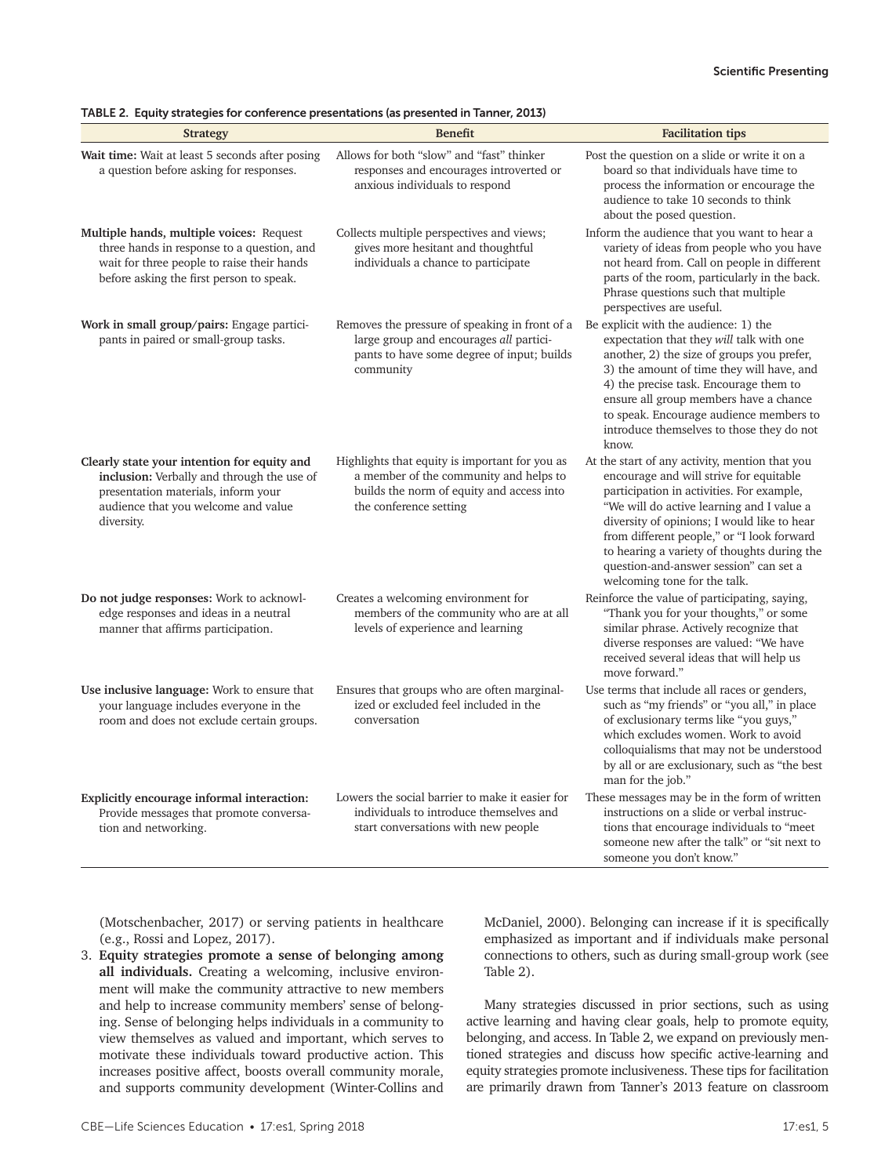# Scientific Presenting

TABLE 2. Equity strategies for conference presentations (as presented in Tanner, 2013)

| <b>Strategy</b>                                                                                                                                                                       | <b>Benefit</b>                                                                                                                                                  | <b>Facilitation tips</b>                                                                                                                                                                                                                                                                                                                                                                                  |
|---------------------------------------------------------------------------------------------------------------------------------------------------------------------------------------|-----------------------------------------------------------------------------------------------------------------------------------------------------------------|-----------------------------------------------------------------------------------------------------------------------------------------------------------------------------------------------------------------------------------------------------------------------------------------------------------------------------------------------------------------------------------------------------------|
| Wait time: Wait at least 5 seconds after posing<br>a question before asking for responses.                                                                                            | Allows for both "slow" and "fast" thinker<br>responses and encourages introverted or<br>anxious individuals to respond                                          | Post the question on a slide or write it on a<br>board so that individuals have time to<br>process the information or encourage the<br>audience to take 10 seconds to think<br>about the posed question.                                                                                                                                                                                                  |
| Multiple hands, multiple voices: Request<br>three hands in response to a question, and<br>wait for three people to raise their hands<br>before asking the first person to speak.      | Collects multiple perspectives and views;<br>gives more hesitant and thoughtful<br>individuals a chance to participate                                          | Inform the audience that you want to hear a<br>variety of ideas from people who you have<br>not heard from. Call on people in different<br>parts of the room, particularly in the back.<br>Phrase questions such that multiple<br>perspectives are useful.                                                                                                                                                |
| Work in small group/pairs: Engage partici-<br>pants in paired or small-group tasks.                                                                                                   | Removes the pressure of speaking in front of a<br>large group and encourages all partici-<br>pants to have some degree of input; builds<br>community            | Be explicit with the audience: 1) the<br>expectation that they will talk with one<br>another, 2) the size of groups you prefer,<br>3) the amount of time they will have, and<br>4) the precise task. Encourage them to<br>ensure all group members have a chance<br>to speak. Encourage audience members to<br>introduce themselves to those they do not<br>know.                                         |
| Clearly state your intention for equity and<br>inclusion: Verbally and through the use of<br>presentation materials, inform your<br>audience that you welcome and value<br>diversity. | Highlights that equity is important for you as<br>a member of the community and helps to<br>builds the norm of equity and access into<br>the conference setting | At the start of any activity, mention that you<br>encourage and will strive for equitable<br>participation in activities. For example,<br>"We will do active learning and I value a<br>diversity of opinions; I would like to hear<br>from different people," or "I look forward<br>to hearing a variety of thoughts during the<br>question-and-answer session" can set a<br>welcoming tone for the talk. |
| Do not judge responses: Work to acknowl-<br>edge responses and ideas in a neutral<br>manner that affirms participation.                                                               | Creates a welcoming environment for<br>members of the community who are at all<br>levels of experience and learning                                             | Reinforce the value of participating, saying,<br>"Thank you for your thoughts," or some<br>similar phrase. Actively recognize that<br>diverse responses are valued: "We have<br>received several ideas that will help us<br>move forward."                                                                                                                                                                |
| Use inclusive language: Work to ensure that<br>your language includes everyone in the<br>room and does not exclude certain groups.                                                    | Ensures that groups who are often marginal-<br>ized or excluded feel included in the<br>conversation                                                            | Use terms that include all races or genders,<br>such as "my friends" or "you all," in place<br>of exclusionary terms like "you guys,"<br>which excludes women. Work to avoid<br>colloquialisms that may not be understood<br>by all or are exclusionary, such as "the best<br>man for the job."                                                                                                           |
| Explicitly encourage informal interaction:<br>Provide messages that promote conversa-<br>tion and networking.                                                                         | Lowers the social barrier to make it easier for<br>individuals to introduce themselves and<br>start conversations with new people                               | These messages may be in the form of written<br>instructions on a slide or verbal instruc-<br>tions that encourage individuals to "meet<br>someone new after the talk" or "sit next to<br>someone you don't know."                                                                                                                                                                                        |

(Motschenbacher, 2017) or serving patients in healthcare (e.g., Rossi and Lopez, 2017).

3. **Equity strategies promote a sense of belonging among all individuals.** Creating a welcoming, inclusive environment will make the community attractive to new members and help to increase community members' sense of belonging. Sense of belonging helps individuals in a community to view themselves as valued and important, which serves to motivate these individuals toward productive action. This increases positive affect, boosts overall community morale, and supports community development (Winter-Collins and McDaniel, 2000). Belonging can increase if it is specifically emphasized as important and if individuals make personal connections to others, such as during small-group work (see Table 2).

Many strategies discussed in prior sections, such as using active learning and having clear goals, help to promote equity, belonging, and access. In Table 2, we expand on previously mentioned strategies and discuss how specific active-learning and equity strategies promote inclusiveness. These tips for facilitation are primarily drawn from Tanner's 2013 feature on classroom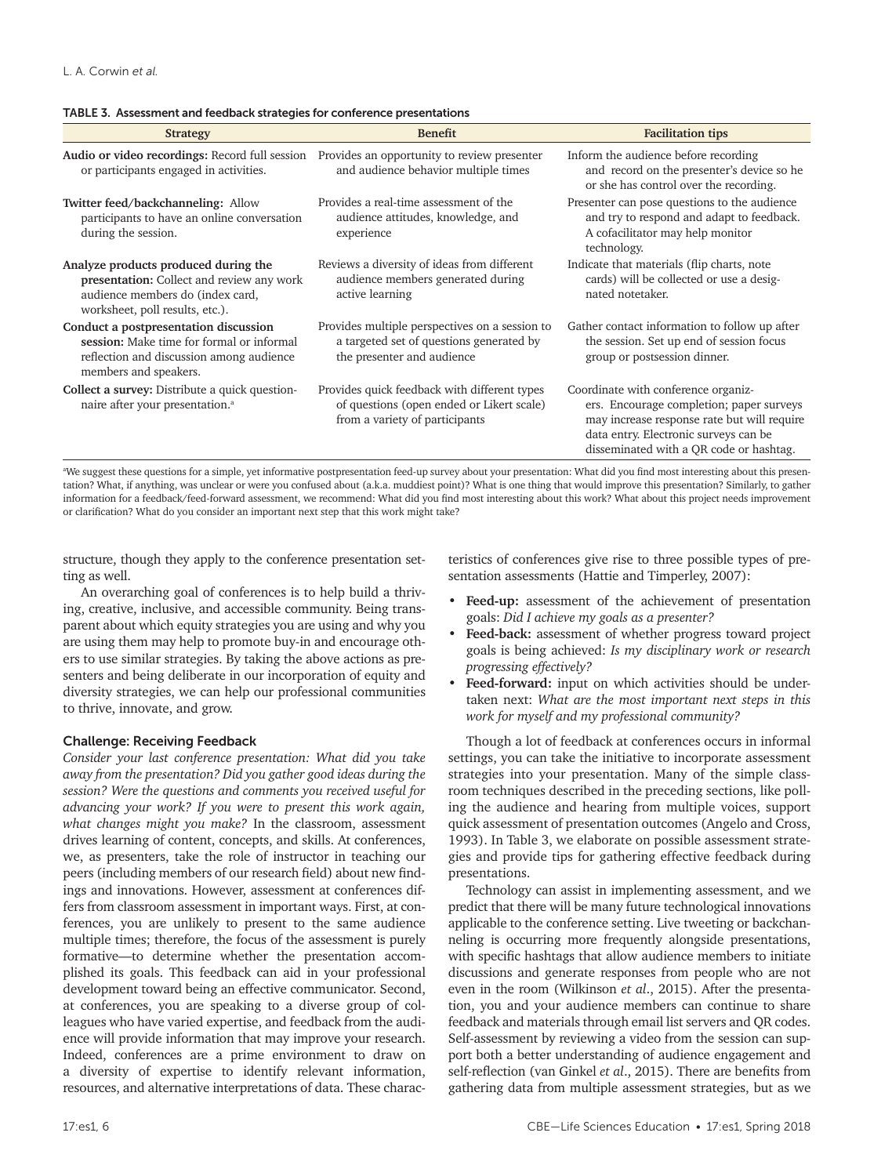|  |  | TABLE 3. Assessment and feedback strategies for conference presentations |  |  |
|--|--|--------------------------------------------------------------------------|--|--|
|--|--|--------------------------------------------------------------------------|--|--|

| <b>Strategy</b>                                                                                                                                          | Benefit                                                                                                                     | <b>Facilitation tips</b>                                                                                                                                                                                           |
|----------------------------------------------------------------------------------------------------------------------------------------------------------|-----------------------------------------------------------------------------------------------------------------------------|--------------------------------------------------------------------------------------------------------------------------------------------------------------------------------------------------------------------|
| Audio or video recordings: Record full session<br>or participants engaged in activities.                                                                 | Provides an opportunity to review presenter<br>and audience behavior multiple times                                         | Inform the audience before recording<br>and record on the presenter's device so he<br>or she has control over the recording.                                                                                       |
| Twitter feed/backchanneling: Allow<br>participants to have an online conversation<br>during the session.                                                 | Provides a real-time assessment of the<br>audience attitudes, knowledge, and<br>experience                                  | Presenter can pose questions to the audience<br>and try to respond and adapt to feedback.<br>A cofacilitator may help monitor<br>technology.                                                                       |
| Analyze products produced during the<br>presentation: Collect and review any work<br>audience members do (index card,<br>worksheet, poll results, etc.). | Reviews a diversity of ideas from different<br>audience members generated during<br>active learning                         | Indicate that materials (flip charts, note<br>cards) will be collected or use a desig-<br>nated notetaker.                                                                                                         |
| Conduct a postpresentation discussion<br>session: Make time for formal or informal<br>reflection and discussion among audience<br>members and speakers.  | Provides multiple perspectives on a session to<br>a targeted set of questions generated by<br>the presenter and audience    | Gather contact information to follow up after<br>the session. Set up end of session focus<br>group or postsession dinner.                                                                                          |
| Collect a survey: Distribute a quick question-<br>naire after your presentation. <sup>a</sup>                                                            | Provides quick feedback with different types<br>of questions (open ended or Likert scale)<br>from a variety of participants | Coordinate with conference organiz-<br>ers. Encourage completion; paper surveys<br>may increase response rate but will require<br>data entry. Electronic surveys can be<br>disseminated with a QR code or hashtag. |

a We suggest these questions for a simple, yet informative postpresentation feed-up survey about your presentation: What did you find most interesting about this presentation? What, if anything, was unclear or were you confused about (a.k.a. muddiest point)? What is one thing that would improve this presentation? Similarly, to gather information for a feedback/feed-forward assessment, we recommend: What did you find most interesting about this work? What about this project needs improvement or clarification? What do you consider an important next step that this work might take?

structure, though they apply to the conference presentation setting as well.

An overarching goal of conferences is to help build a thriving, creative, inclusive, and accessible community. Being transparent about which equity strategies you are using and why you are using them may help to promote buy-in and encourage others to use similar strategies. By taking the above actions as presenters and being deliberate in our incorporation of equity and diversity strategies, we can help our professional communities to thrive, innovate, and grow.

### Challenge: Receiving Feedback

*Consider your last conference presentation: What did you take away from the presentation? Did you gather good ideas during the session? Were the questions and comments you received useful for advancing your work? If you were to present this work again, what changes might you make?* In the classroom, assessment drives learning of content, concepts, and skills. At conferences, we, as presenters, take the role of instructor in teaching our peers (including members of our research field) about new findings and innovations. However, assessment at conferences differs from classroom assessment in important ways. First, at conferences, you are unlikely to present to the same audience multiple times; therefore, the focus of the assessment is purely formative—to determine whether the presentation accomplished its goals. This feedback can aid in your professional development toward being an effective communicator. Second, at conferences, you are speaking to a diverse group of colleagues who have varied expertise, and feedback from the audience will provide information that may improve your research. Indeed, conferences are a prime environment to draw on a diversity of expertise to identify relevant information, resources, and alternative interpretations of data. These characteristics of conferences give rise to three possible types of presentation assessments (Hattie and Timperley, 2007):

- Feed-up: assessment of the achievement of presentation goals: *Did I achieve my goals as a presenter?*
- Feed-back: assessment of whether progress toward project goals is being achieved: *Is my disciplinary work or research progressing effectively?*
- Feed-forward: input on which activities should be undertaken next: *What are the most important next steps in this work for myself and my professional community?*

Though a lot of feedback at conferences occurs in informal settings, you can take the initiative to incorporate assessment strategies into your presentation. Many of the simple classroom techniques described in the preceding sections, like polling the audience and hearing from multiple voices, support quick assessment of presentation outcomes (Angelo and Cross, 1993). In Table 3, we elaborate on possible assessment strategies and provide tips for gathering effective feedback during presentations.

Technology can assist in implementing assessment, and we predict that there will be many future technological innovations applicable to the conference setting. Live tweeting or backchanneling is occurring more frequently alongside presentations, with specific hashtags that allow audience members to initiate discussions and generate responses from people who are not even in the room (Wilkinson *et al*., 2015). After the presentation, you and your audience members can continue to share feedback and materials through email list servers and QR codes. Self-assessment by reviewing a video from the session can support both a better understanding of audience engagement and self-reflection (van Ginkel *et al*., 2015). There are benefits from gathering data from multiple assessment strategies, but as we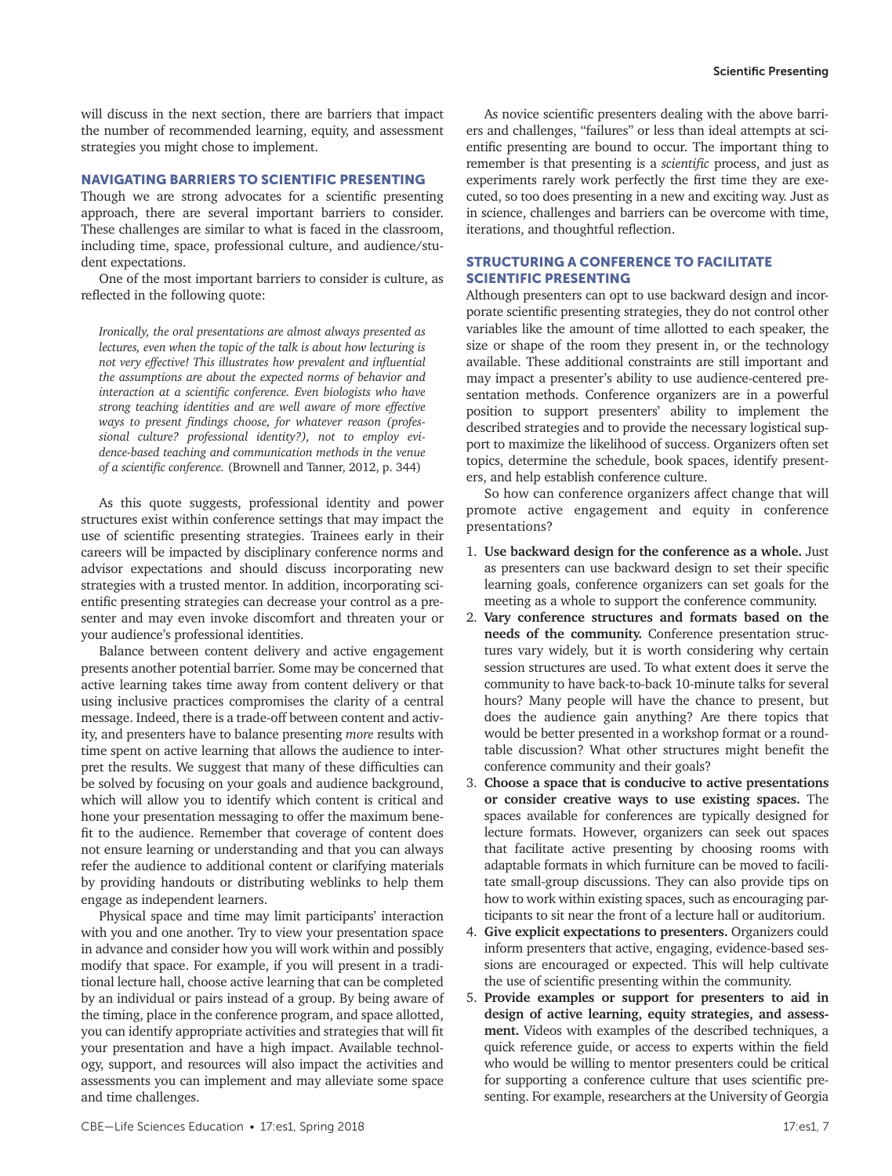will discuss in the next section, there are barriers that impact the number of recommended learning, equity, and assessment strategies you might chose to implement.

# NAVIGATING BARRIERS TO SCIENTIFIC PRESENTING

Though we are strong advocates for a scientific presenting approach, there are several important barriers to consider. These challenges are similar to what is faced in the classroom, including time, space, professional culture, and audience/student expectations.

One of the most important barriers to consider is culture, as reflected in the following quote:

*Ironically, the oral presentations are almost always presented as lectures, even when the topic of the talk is about how lecturing is not very effective! This illustrates how prevalent and influential the assumptions are about the expected norms of behavior and interaction at a scientific conference. Even biologists who have strong teaching identities and are well aware of more effective ways to present findings choose, for whatever reason (professional culture? professional identity?), not to employ evidence-based teaching and communication methods in the venue of a scientific conference.* (Brownell and Tanner, 2012, p. 344)

As this quote suggests, professional identity and power structures exist within conference settings that may impact the use of scientific presenting strategies. Trainees early in their careers will be impacted by disciplinary conference norms and advisor expectations and should discuss incorporating new strategies with a trusted mentor. In addition, incorporating scientific presenting strategies can decrease your control as a presenter and may even invoke discomfort and threaten your or your audience's professional identities.

Balance between content delivery and active engagement presents another potential barrier. Some may be concerned that active learning takes time away from content delivery or that using inclusive practices compromises the clarity of a central message. Indeed, there is a trade-off between content and activity, and presenters have to balance presenting *more* results with time spent on active learning that allows the audience to interpret the results. We suggest that many of these difficulties can be solved by focusing on your goals and audience background, which will allow you to identify which content is critical and hone your presentation messaging to offer the maximum benefit to the audience. Remember that coverage of content does not ensure learning or understanding and that you can always refer the audience to additional content or clarifying materials by providing handouts or distributing weblinks to help them engage as independent learners.

Physical space and time may limit participants' interaction with you and one another. Try to view your presentation space in advance and consider how you will work within and possibly modify that space. For example, if you will present in a traditional lecture hall, choose active learning that can be completed by an individual or pairs instead of a group. By being aware of the timing, place in the conference program, and space allotted, you can identify appropriate activities and strategies that will fit your presentation and have a high impact. Available technology, support, and resources will also impact the activities and assessments you can implement and may alleviate some space and time challenges.

As novice scientific presenters dealing with the above barriers and challenges, "failures" or less than ideal attempts at scientific presenting are bound to occur. The important thing to remember is that presenting is a *scientific* process, and just as experiments rarely work perfectly the first time they are executed, so too does presenting in a new and exciting way. Just as in science, challenges and barriers can be overcome with time, iterations, and thoughtful reflection.

# STRUCTURING A CONFERENCE TO FACILITATE SCIENTIFIC PRESENTING

Although presenters can opt to use backward design and incorporate scientific presenting strategies, they do not control other variables like the amount of time allotted to each speaker, the size or shape of the room they present in, or the technology available. These additional constraints are still important and may impact a presenter's ability to use audience-centered presentation methods. Conference organizers are in a powerful position to support presenters' ability to implement the described strategies and to provide the necessary logistical support to maximize the likelihood of success. Organizers often set topics, determine the schedule, book spaces, identify presenters, and help establish conference culture.

So how can conference organizers affect change that will promote active engagement and equity in conference presentations?

- 1. **Use backward design for the conference as a whole.** Just as presenters can use backward design to set their specific learning goals, conference organizers can set goals for the meeting as a whole to support the conference community.
- 2. **Vary conference structures and formats based on the needs of the community.** Conference presentation structures vary widely, but it is worth considering why certain session structures are used. To what extent does it serve the community to have back-to-back 10-minute talks for several hours? Many people will have the chance to present, but does the audience gain anything? Are there topics that would be better presented in a workshop format or a roundtable discussion? What other structures might benefit the conference community and their goals?
- 3. **Choose a space that is conducive to active presentations or consider creative ways to use existing spaces.** The spaces available for conferences are typically designed for lecture formats. However, organizers can seek out spaces that facilitate active presenting by choosing rooms with adaptable formats in which furniture can be moved to facilitate small-group discussions. They can also provide tips on how to work within existing spaces, such as encouraging participants to sit near the front of a lecture hall or auditorium.
- 4. **Give explicit expectations to presenters.** Organizers could inform presenters that active, engaging, evidence-based sessions are encouraged or expected. This will help cultivate the use of scientific presenting within the community.
- 5. **Provide examples or support for presenters to aid in design of active learning, equity strategies, and assessment.** Videos with examples of the described techniques, a quick reference guide, or access to experts within the field who would be willing to mentor presenters could be critical for supporting a conference culture that uses scientific presenting. For example, researchers at the University of Georgia